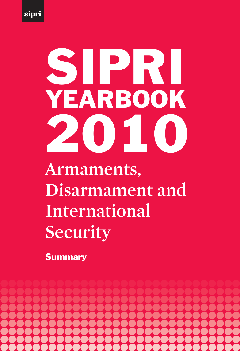

# **Armaments, Disarmament and International Security** SIPRI YEARBOOK 2010

**Summary** 

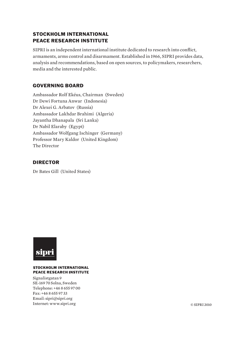## STOCKHOLM INTERNATIONAL PEACE RESEARCH INSTITUTE

SIPRI is an independent international institute dedicated to research into conflict, armaments, arms control and disarmament. Established in 1966, SIPRI provides data, analysis and recommendations, based on open sources, to policymakers, researchers, media and the interested public.

## GOVERNING BOARD

Ambassador Rolf Ekéus, Chairman (Sweden) Dr Dewi Fortuna Anwar (Indonesia) Dr Alexei G. Arbatov (Russia) Ambassador Lakhdar Brahimi (Algeria) Jayantha Dhanapala (Sri Lanka) Dr Nabil Elaraby (Egypt) Ambassador Wolfgang Ischinger (Germany) Professor Mary Kaldor (United Kingdom) The Director

## DIRECTOR

Dr Bates Gill (United States)



#### **STOCKHOLM INTERNATIONAL PEACE RESEARCH INSTITUTE**

Signalistgatan 9 SE-169 70 Solna, Sweden Telephone: +46 8 655 97 00 Fax: +46 8 655 97 33 Email: sipri@sipri.org Internet: www.sipri.org © SIPRI 2010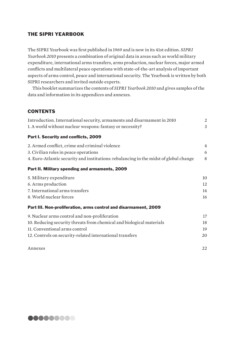## THE SIPRI YEARBOOK

The SIPRI Yearbook was first published in 1969 and is now in its 41st edition. *SIPRI Yearbook 2010* presents a combination of original data in areas such as world military expenditure, international arms transfers, arms production, nuclear forces, major armed conflicts and multilateral peace operations with state-of-the-art analysis of important aspects of arms control, peace and international security. The Yearbook is written by both SIPRI researchers and invited outside experts.

This booklet summarizes the contents of *SIPRI Yearbook 2010* and gives samples of the data and information in its appendices and annexes.

## **CONTENTS**

| Introduction. International security, armaments and disarmament in 2010               | 2  |
|---------------------------------------------------------------------------------------|----|
| 1. A world without nuclear weapons: fantasy or necessity?                             | 3  |
| Part I. Security and conflicts, 2009                                                  |    |
| 2. Armed conflict, crime and criminal violence                                        | 4  |
| 3. Civilian roles in peace operations                                                 | 6  |
| 4. Euro-Atlantic security and institutions: rebalancing in the midst of global change | 8  |
| Part II. Military spending and armaments, 2009                                        |    |
| 5. Military expenditure                                                               | 10 |
| 6. Arms production                                                                    | 12 |
| 7. International arms transfers                                                       | 14 |
| 8. World nuclear forces                                                               | 16 |
| Part III. Non-proliferation, arms control and disarmament, 2009                       |    |
| 9. Nuclear arms control and non-proliferation                                         | 17 |
| 10. Reducing security threats from chemical and biological materials                  | 18 |
| 11. Conventional arms control                                                         | 19 |
| 12. Controls on security-related international transfers                              | 20 |
| Annexes                                                                               | 22 |

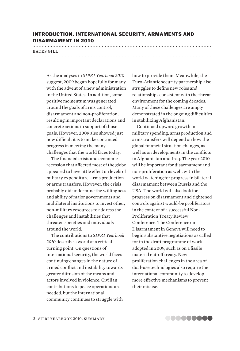## INTRODUCTION. INTERNATIONAL SECURITY, ARMAMENTS AND DISARMAMENT IN 2010

# **bates gill bates**  $\mathbf{g}$

As the analyses in *SIPRI Yearbook 2010* suggest, 2009 began hopefully for many with the advent of a new administration in the United States. In addition, some positive momentum was generated around the goals of arms control, disarmament and non-proliferation, resulting in important declarations and concrete actions in support of those goals. However, 2009 also showed just how difficult it is to make continued progress in meeting the many challenges that the world faces today.

The financial crisis and economic recession that affected most of the globe appeared to have little effect on levels of military expenditure, arms production or arms transfers. However, the crisis probably did undermine the willingness and ability of major governments and multilateral institutions to invest other, non-military resources to address the challenges and instabilities that threaten societies and individuals around the world.

The contributions to *SIPRI Yearbook 2010* describe a world at a critical turning point. On questions of international security, the world faces continuing changes in the nature of armed conflict and instability towards greater diffusion of the means and actors involved in violence. Civilian contributions to peace operations are needed, but the international community continues to struggle with

how to provide them. Meanwhile, the Euro-Atlantic security partnership also struggles to define new roles and relationships consistent with the threat environment for the coming decades. Many of these challenges are amply demonstrated in the ongoing difficulties in stabilizing Afghanistan.

Continued upward growth in military spending, arms production and arms transfers will depend on how the global financial situation changes, as well as on developments in the conflicts in Afghanistan and Iraq. The year 2010 will be important for disarmament and non-proliferation as well, with the world watching for progress in bilateral disarmament between Russia and the USA. The world will also look for progress on disarmament and tightened controls against would-be proliferators in the context of a successful Non-Proliferation Treaty Review Conference. The Conference on Disarmament in Geneva will need to begin substantive negotiations as called for in the draft programme of work adopted in 2009, such as on a fissile material cut-off treaty. New proliferation challenges in the area of dual-use technologies also require the international community to develop more effective mechanisms to prevent their misuse.

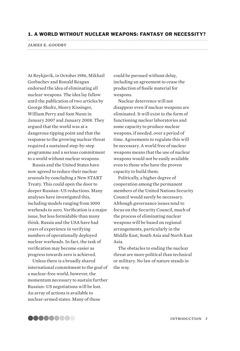#### 1. A WORLD WITHOUT NUCLEAR WEAPONS: FANTASY OR NECESSITY?

At Reykjavik, in October 1986, Mikhail Gorbachev and Ronald Reagan endorsed the idea of eliminating all nuclear weapons. The idea lay fallow until the publication of two articles by George Shultz, Henry Kissinger, William Perry and Sam Nunn in January 2007 and January 2008. They argued that the world was at a dangerous tipping point and that the response to the growing nuclear threat required a sustained step-by-step programme and a serious commitment to a world without nuclear weapons.

Russia and the United States have now agreed to reduce their nuclear arsenals by concluding a New START Treaty. This could open the door to deeper Russian–US reductions. Many analyses have investigated this, including models ranging from 1000 warheads to zero. Verification is a major issue, but less formidable than many think. Russia and the USA have had years of experience in verifying numbers of operationally deployed nuclear warheads. In fact, the task of verification may become easier as progress towards zero is achieved.

Unless there is a broadly shared international commitment to the goal of a nuclear-free world, however, the momentum necessary to sustain further Russian–US negotiations will be lost. An array of actions is available to nuclear-armed states. Many of these

could be pursued without delay, including an agreement to cease the production of fissile material for weapons.

Nuclear deterrence will not disappear even if nuclear weapons are eliminated. It will exist in the form of functioning nuclear laboratories and some capacity to produce nuclear weapons, if needed, over a period of time. Agreements to regulate this will be necessary. A world free of nuclear weapons means that the use of nuclear weapons would not be easily available even to those who have the proven capacity to build them.

Politically, a higher degree of cooperation among the permanent members of the United Nations Security Council would surely be necessary. Although governance issues tend to focus on the Security Council, much of the process of eliminating nuclear weapons will be based on regional arrangements, particularly in the Middle East, South Asia and North East Asia.

The obstacles to ending the nuclear threat are more political than technical or military. No law of nature stands in the way.

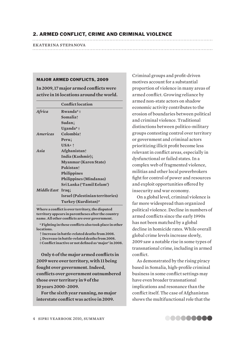## 2. ARMED CONFLICT, CRIME AND CRIMINAL VIOLENCE

ekaterina stepanova

#### MAJOR ARMED CONFLICTS, 2009

**In 2009, 17 major armed conflicts were active in 16 locations around the world.**

|             | <b>Conflict location</b>         |  |
|-------------|----------------------------------|--|
| Africa      | Rwanda* $\pm$                    |  |
|             | <b>Somalia</b>                   |  |
|             | Sudanl                           |  |
|             | Uganda* $\dagger$                |  |
| Americas    | Colombiat                        |  |
|             | Perul                            |  |
|             | $USA*$ ^                         |  |
| Asia        | <b>Afghanistan</b>               |  |
|             | India (Kashmir)↓                 |  |
|             | <b>Myanmar</b> (Karen State)     |  |
|             | Pakistan↑                        |  |
|             | <b>Philippines</b>               |  |
|             | Philippines (Mindanao)           |  |
|             | Sri Lanka ('Tamil Eelam')        |  |
| Middle East | $Iraq \downarrow$                |  |
|             | Israel (Palestinian territories) |  |
|             | Turkey (Kurdistan)*              |  |

**Where a conflict is over territory, the disputed territory appears in parentheses after the country name. All other conflicts are over government.**

**\* Fighting in these conflicts also took place in other locations.** 

- - **Increase in battle-related deaths from 2008.**
- **Decrease in battle-related deaths from 2008.**
- **‡ Conflict inactive or not defined as 'major' in 2008.**

**Only 6 of the major armed conflicts in 2009 were over territory, with 11 being fought over government. Indeed, conflicts over government outnumbered those over territory in 9 of the 10 years 2000–2009.**

**For the sixth year running, no major interstate conflict was active in 2009.** 

Criminal groups and profit-driven motives account for a substantial proportion of violence in many areas of armed conflict. Growing reliance by armed non-state actors on shadow economic activity contributes to the erosion of boundaries between political and criminal violence. Traditional distinctions between politico-military groups contesting control over territory or government and criminal actors prioritizing illicit profit become less relevant in conflict areas, especially in dysfunctional or failed states. In a complex web of fragmented violence, militias and other local powerbrokers fight for control of power and resources and exploit opportunities offered by insecurity and war economy.

On a global level, criminal violence is far more widespread than organized political violence. Decline in numbers of armed conflicts since the early 1990s has not been matched by a global decline in homicide rates. While overall global crime levels increase slowly, 2009 saw a notable rise in some types of transnational crime, including in armed conflict.

As demonstrated by the rising piracy based in Somalia, high-profile criminal business in some conflict settings may have even broader transnational implications and resonance than the conflict itself. The case of Afghanistan shows the multifunctional role that the

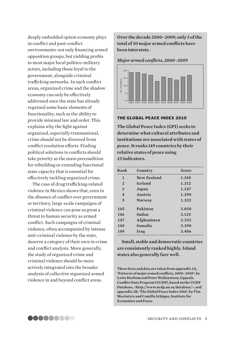deeply embedded opium economy plays in conflict and post-conflict environments: not only financing armed opposition groups, but yielding profits to most major local politico-military actors, including those loyal to the government, alongside criminal trafficking networks. In such conflict areas, organized crime and the shadow economy can only be effectively addressed once the state has already regained some basic elements of functionality, such as the ability to provide minimal law and order. This explains why the fight against organized, especially transnational, crime should not be divorced from conflict resolution efforts. Finding political solutions to conflicts should take priority as the main precondition for rebuilding or extending functional state capacity that is essential for effectively tackling organized crime.

The case of drug trafficking-related violence in Mexico shows that, even in the absence of conflict over government or territory, large-scale campaigns of criminal violence can pose as great a threat to human security as armed conflict. Such campaigns of criminal violence, often accompanied by intense anti-criminal violence by the state, deserve a category of their own in crime and conflict analysis. More generally, the study of organized crime and criminal violence should be more actively integrated into the broader analysis of collective organized armed violence in and beyond conflict areas.

**Over the decade 2000–2009, only 3 of the total of 30 major armed conflicts have been interstate.** 

*Major armed conflicts, 2000–2009*



## THE GLOBAL PEACE INDEX 2010

**The Global Peace Index (GPI) seeks to determine what cultural attributes and institutions are associated with states of peace. It ranks 149 countries by their relative states of peace using 23 indicators.**

| Rank           | Country        | Score |
|----------------|----------------|-------|
| 1              | New Zealand    | 1.188 |
| $\overline{2}$ | <b>Iceland</b> | 1.212 |
| 3              | Japan          | 1.247 |
| $\overline{4}$ | Austria        | 1.290 |
| 5              | <b>Norway</b>  | 1.322 |
| 145            | Pakistan       | 3.050 |
| 146            | Sudan          | 3.125 |
| 147            | Afghanistan    | 3.252 |
| 148            | Somalia        | 3.390 |
| 149            | Iraq           | 3.406 |

**Small, stable and democratic countries are consistently ranked highly. Island states also generally fare well.**

**These facts and data are taken from appendix 2A, 'Patterns of major armed conflicts, 2000–2009', by Lotta Harbom and Peter Wallensteen, Uppsala Conflict Data Program (UCDP), based on the UCDP Database, <http://www.ucdp.uu.se/database/>, and appendix 2B, 'The Global Peace Index 2010', by Tim Macintyre and Camilla Schippa, Institute for Economics and Peace.**

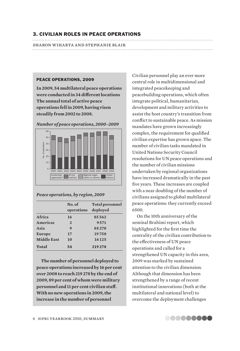## 3. CIVILIAN ROLES IN PEACE OPERATIONS

sharon wiharta and stephanie blair

#### PEACE OPERATIONS, 2009

**In 2009, 54 multilateral peace operations were conducted in 34 different locations The annual total of active peace operations fell in 2009, having risen steadily from 2002 to 2008.** 



*Number of peace operations, 2000–2009*

#### *Peace operations, by region, 2009*

|                    | No. of<br>operations | Total personnel<br>deployed |
|--------------------|----------------------|-----------------------------|
| Africa             | 16                   | 85562                       |
| Americas           | $\overline{2}$       | 9571                        |
| Asia               | 9                    | 88270                       |
| <b>Europe</b>      | 17                   | 19750                       |
| <b>Middle East</b> | 10                   | 16125                       |
| <b>Total</b>       | 54                   | 219278                      |

**The number of personnel deployed to peace operations increased by 16 per cent over 2008 to reach 219 278 by the end of 2009, 89 per cent of whom were military personnel and 11 per cent civilian staff. With no new operations in 2009, the increase in the number of personnel** 

Civilian personnel play an ever more central role in multidimensional and integrated peacekeeping and peacebuilding operations, which often integrate political, humanitarian, development and military activities to assist the host country's transition from conflict to sustainable peace. As mission mandates have grown increasingly complex, the requirement for qualified civilian expertise has grown apace. The number of civilian tasks mandated in United Nations Security Council resolutions for UN peace operations and the number of civilian missions undertaken by regional organizations have increased dramatically in the past five years. These increases are coupled with a near doubling of the number of civilians assigned to global multilateral peace operations: they currently exceed 6500.

On the 10th anniversary of the seminal Brahimi report, which highlighted for the first time the centrality of the civilian contribution to the effectiveness of UN peace operations and called for a strengthened UN capacity in this area, 2009 was marked by sustained attention to the civilian dimension. Although that dimension has been strengthened by a range of recent institutional innovations (both at the multilateral and national level) to overcome the deployment challenges

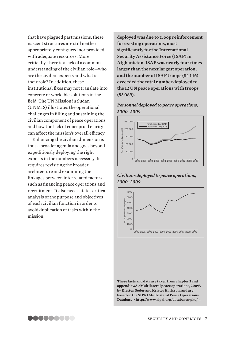that have plagued past missions, these nascent structures are still neither appropriately configured nor provided with adequate resources. More critically, there is a lack of a common understanding of the civilian role—who are the civilian experts and what is their role? In addition, these institutional fixes may not translate into concrete or workable solutions in the field. The UN Mission in Sudan (UNMIS) illustrates the operational challenges in filling and sustaining the civilian component of peace operations and how the lack of conceptual clarity can affect the mission's overall efficacy.

Enhancing the civilian dimension is thus a broader agenda and goes beyond expeditiously deploying the right experts in the numbers necessary. It requires revisiting the broader architecture and examining the linkages between interrelated factors, such as financing peace operations and recruitment. It also necessitates critical analysis of the purpose and objectives of each civilian function in order to avoid duplication of tasks within the mission.

**deployed was due to troop reinforcement for existing operations, most significantly for the International Security Assistance Force (ISAF) in Afghanistan. ISAF was nearly four times larger than the next largest operation, and the number of ISAF troops (84 146) exceeded the total number deployed to the 12 UN peace operations with troops (83 089).**

## *Personnel deployed to peace operations, 2000–2009*



## *Civilians deployed to peace operations, 2000–2009*



**These facts and data are taken from chapter 3 and appendix 3A, 'Multilateral peace operations, 2009', by Kirsten Soder and Krister Karlsson, and are based on the SIPRI Multilateral Peace Operations Database, <http://www.sipri.org/databases/pko/>.**

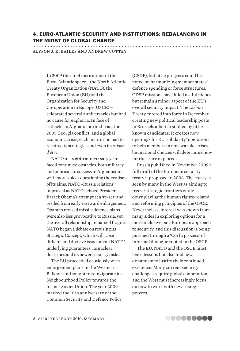## 4. EURO-ATLANTIC SECURITY AND INSTITUTIONS: REBALANCING IN THE MIDST OF GLOBAL CHANGE

# alyson j. k. bailes and andrew cottey

In 2009 the chief institutions of the Euro-Atlantic space—the North Atlantic Treaty Organization (NATO), the European Union (EU) and the Organization for Security and Co-operation in Europe (OSCE) celebrated several anniversaries but had no cause for euphoria. In face of setbacks in Afghanistan and Iraq, the 2008 Georgia conflict, and a global economic crisis, each institution had to rethink its strategies and even its *raison d'être*.

NATO in its 60th anniversary year faced continued obstacles, both military and political, to success in Afghanistan, with more voices questioning the realism of its aims. NATO–Russia relations improved as NATO echoed President Barack Obama's attempt at a 're-set' and resiled from early eastward enlargement. Obama's revised missile defence plans were also less provocative to Russia, yet the overall relationship remained fragile. NATO began a debate on revising its Strategic Concept, which will raise difficult and divisive issues about NATO's underlying guarantees, its nuclear doctrines and its newer security tasks.

The EU proceeded cautiously with enlargement plans in the Western Balkans and sought to reinvigorate its Neighbourhood Policy towards the former Soviet Union. The year 2009 marked the 10th anniversary of the Common Security and Defence Policy (CSDP), but little progress could be noted on harmonizing member states' defence spending or force structures. CDSP missions have filled useful niches but remain a minor aspect of the EU's overall security impact. The Lisbon Treaty entered into force in December, creating new political leadership posts in Brussels albeit first filled by littleknown candidates. It creates new openings for EU 'solidarity' operations to help members in non-warlike crises, but national choices will determine how far these are explored.

Russia published in November 2009 a full draft of the European security treaty it proposed in 2008. The treaty is seen by many in the West as aiming to freeze strategic frontiers while downplaying the human rights-related and reforming principles of the OSCE. Nevertheless, interest was shown from many sides in exploring options for a more inclusive pan-European approach to security, and this discussion is being pursued through a 'Corfu process' of informal dialogue rooted in the OSCE.

The EU, NATO and the OSCE must learn lessons but also find new dynamism to justify their continued existence. Many current security challenges require global cooperation and the West must increasingly focus on how to work with new 'rising' powers.

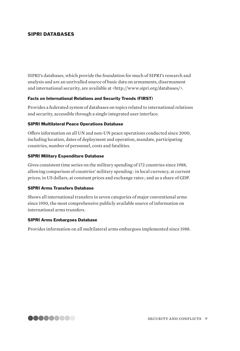## SIPRI DATABASES

SIPRI's databases, which provide the foundation for much of SIPRI's research and analysis and are an unrivalled source of basic data on armaments, disarmament and international security, are available at <http://www.sipri.org/databases/>.

## Facts on International Relations and Security Trends (FIRST)

Provides a federated system of databases on topics related to international relations and security, accessible through a single integrated user interface.

## SIPRI Multilateral Peace Operations Database

Offers information on all UN and non-UN peace operations conducted since 2000, including location, dates of deployment and operation, mandate, participating countries, number of personnel, costs and fatalities.

## SIPRI Military Expenditure Database

Gives consistent time series on the military spending of 172 countries since 1988, allowing comparison of countries' military spending : in local currency, at current prices; in US dollars, at constant prices and exchange rates ; and as a share of GDP.

#### SIPRI Arms Transfers Database

Shows all international transfers in seven categories of major conventional arms since 1950, the most comprehensive publicly available source of information on international arms transfers.

## SIPRI Arms Embargoes Database

Provides information on all multilateral arms embargoes implemented since 1988.

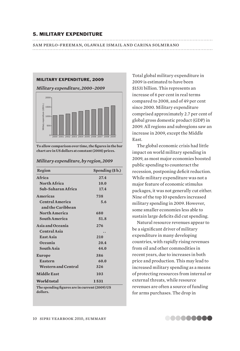#### 5. MILITARY EXPENDITURE

sam perlo-freeman, olawale ismail and carina solmirano 



**To allow comparison over time, the figures in the bar chart are in US dollars at constant (2008) prices.**

| Region                                                    | Spending (\$b.) |  |
|-----------------------------------------------------------|-----------------|--|
| Africa                                                    | 27.4            |  |
| North Africa                                              | 10.0            |  |
| Sub-Saharan Africa                                        | 17.4            |  |
| <b>Americas</b>                                           | 738             |  |
| <b>Central America</b>                                    | 5.6             |  |
| and the Caribbean                                         |                 |  |
| <b>North America</b>                                      | 680             |  |
| South America                                             | 51.8            |  |
| Asia and Oceania                                          | 276             |  |
| <b>Central Asia</b>                                       |                 |  |
| East Asia                                                 | 210             |  |
| <b>Oceania</b>                                            | 20.4            |  |
| <b>South Asia</b>                                         | 44.0            |  |
| <b>Europe</b>                                             | 386             |  |
| <b>Eastern</b>                                            | 60.0            |  |
| <b>Western and Central</b>                                | 326             |  |
| <b>Middle East</b>                                        | 103             |  |
| World total                                               | 1531            |  |
| The spending figures are in current (2009) US<br>dollars. |                 |  |

*Military expenditure, by region, 2009*

Total global military expenditure in 2009 is estimated to have been \$1531 billion. This represents an increase of 6 per cent in real terms compared to 2008, and of 49 per cent since 2000. Military expenditure comprised approximately 2.7 per cent of global gross domestic product (GDP) in 2009. All regions and subregions saw an increase in 2009, except the Middle East.

The global economic crisis had little impact on world military spending in 2009, as most major economies boosted public spending to counteract the recession, postponing deficit reduction. While military expenditure was not a major feature of economic stimulus packages, it was not generally cut either. Nine of the top 10 spenders increased military spending in 2009. However, some smaller economies less able to sustain large deficits did cut spending.

Natural resource revenues appear to be a significant driver of military expenditure in many developing countries, with rapidly rising revenues from oil and other commodities in recent years, due to increases in both price and production. This may lead to increased military spending as a means of protecting resources from internal or external threats, while resource revenues are often a source of funding for arms purchases. The drop in

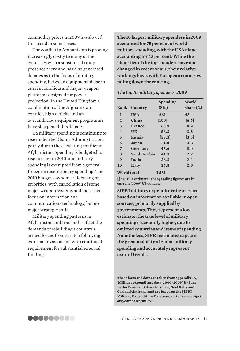commodity prices in 2009 has slowed this trend in some cases.

The conflict in Afghanistan is proving increasingly costly to many of the countries with a substantial troop presence there and has also generated debates as to the focus of military spending, between equipment of use in current conflicts and major weapon platforms designed for power projection. In the United Kingdom a combination of the Afghanistan conflict, high deficits and an overambitious equipment programme have sharpened this debate.

US military spending is continuing to rise under the Obama Administration, partly due to the escalating conflict in Afghanistan. Spending is budgeted to rise further in 2010, and military spending is exempted from a general freeze on discretionary spending. The 2010 budget saw some refocusing of priorities, with cancellation of some major weapon systems and increased focus on information and communications technology, but no major strategic shift.

Military spending patterns in Afghanistan and Iraq both reflect the demands of rebuilding a country's armed forces from scratch following external invasion and with continued requirement for substantial external funding.

**The 10 largest military spenders in 2009 accounted for 75 per cent of world military spending, with the USA alone accounting for 43 per cent. While the identities of the top spenders have not changed in recent years, their relative rankings have, with European countries falling down the ranking.**

#### *The top 10 military spenders, 2009*

| Rank           | Country      | Spending<br>\$b.) | World<br>share (%) |
|----------------|--------------|-------------------|--------------------|
| 1              | <b>USA</b>   | 661               | 43                 |
| $\overline{2}$ | China        | [100]             | [6.6]              |
| 3              | France       | 63.9              | 4.2                |
| $\overline{4}$ | <b>UK</b>    | 58.3              | 3.8                |
| 5              | Russia       | [53.3]            | $\left[3.5\right]$ |
| 6              | Japan        | 51.0              | 3.3                |
| 7              | Germany      | 45.6              | 3.0                |
| 8              | Saudi Arabia | 41.3              | 2.7                |
| 9              | India        | 36.3              | 2.4                |
| 10             | <b>Italy</b> | 35.8              | 2.3                |
| World total    |              | 1531              |                    |

**[ ] = SIPRI estimate. The spending figures are in current (2009) US dollars.**

**SIPRI military expenditure figures are based on information available in open sources, primarily supplied by governments. They represent a low estimate; the true level of military spending is certainly higher, due to omitted countries and items of spending. Nonetheless, SIPRI estimates capture the great majority of global military spending and accurately represent overall trends.**

**These facts and data are taken from appendix 5A, 'Military expenditure data, 2000–2009', by Sam Perlo-Freeman, Olawale Ismail, Noel Kelly and Carina Solmirano, and are based on the SIPRI Military Expenditure Database, <http://www.sipri. org/databases/milex>.**

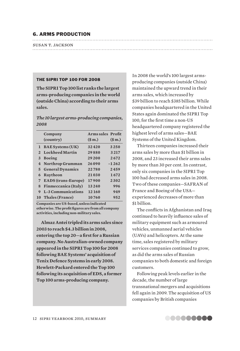## 6. ARMS PRODUCTION

| SUSAN T. JACKSON |  |
|------------------|--|
|                  |  |

#### THE SIPRI TOP 100 FOR 2008

**The SIPRI Top 100 list ranks the largest arms-producing companies in the world (outside China) according to their arms sales.** 

## *The 10 largest arms-producing companies, 2008*

|              | Company<br>(country)       | <b>Arms sales Profit</b><br>\$m.) | \$m.)   |
|--------------|----------------------------|-----------------------------------|---------|
|              | 1 BAE Systems (UK)         | 32420                             | 3250    |
|              | 2 Lockheed Martin          | 29880                             | 3217    |
| $\mathbf{3}$ | <b>Boeing</b>              | 29200                             | 2672    |
| 4            | Northrop Grumman           | 26090                             | $-1262$ |
|              | 5 General Dynamics         | 22780                             | 2459    |
| 6            | Raytheon                   | 21030                             | 1672    |
| $7^{\circ}$  | <b>EADS</b> (trans-Europe) | 17900                             | 2302    |
| 8            | Finmeccanica (Italy)       | 13240                             | 996     |
| 9            | L-3 Communications         | 12160                             | 949     |
|              | <b>10 Thales (France)</b>  | 10760                             | 952     |

**Companies are US-based, unless indicated otherwise. The profit figures are from all company activities, including non-military sales.**

**Almaz Antei tripled its arms sales since 2003 to reach \$4.3 billion in 2008, entering the top 20—a first for a Russian company. No Australian-owned company appeared in the SIPRI Top 100 for 2008 following BAE Systems' acquisition of Tenix Defence Systems in early 2008. Hewlett-Packard entered the Top 100 following its acquisition of EDS, a former Top 100 arms-producing company.**

In 2008 the world's 100 largest armsproducing companies (outside China) maintained the upward trend in their arms sales, which increased by \$39 billion to reach \$385 billion. While companies headquartered in the United States again dominated the SIPRI Top 100, for the first time a non-US headquartered company registered the highest level of arms sales—BAE Systems of the United Kingdom.

Thirteen companies increased their arms sales by more than \$1 billion in 2008, and 23 increased their arms sales by more than 30 per cent. In contrast, only six companies in the SIPRI Top 100 had decreased arms sales in 2008. Two of these companies—SAFRAN of France and Boeing of the USA experienced decreases of more than \$1 billion.

The conflicts in Afghanistan and Iraq continued to heavily influence sales of military equipment such as armoured vehicles, unmanned aerial vehicles (UAVs) and helicopters. At the same time, sales registered by military services companies continued to grow, as did the arms sales of Russian companies to both domestic and foreign customers.

Following peak levels earlier in the decade, the number of large transnational mergers and acquisitions fell again in 2009. The acquisition of US companies by British companies

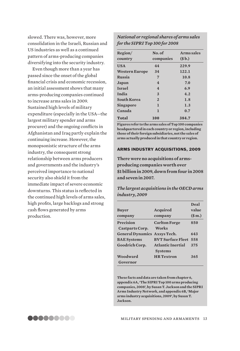slowed. There was, however, more consolidation in the Israeli, Russian and US industries as well as a continued pattern of arms-producing companies diversifying into the security industry.

Even though more than a year has passed since the onset of the global financial crisis and economic recession, an initial assessment shows that many arms-producing companies continued to increase arms sales in 2009. Sustained high levels of military expenditure (especially in the USA—the largest military spender and arms procurer) and the ongoing conflicts in Afghanistan and Iraq partly explain the continuing increase. However, the monopsonistic structure of the arms industry, the consequent strong relationship between arms producers and governments and the industry's perceived importance to national security also shield it from the immediate impact of severe economic downturns. This status is reflected in the continued high levels of arms sales, high profits, large backlogs and strong cash flows generated by arms production.

*National or regional shares of arms sales for the SIPRI Top 100 for 2008*

| Region/<br>country    | No. of<br>companies | Arms sales<br>\$b.) |
|-----------------------|---------------------|---------------------|
| <b>USA</b>            | 44                  | 229.9               |
| <b>Western Europe</b> | 34                  | 122.1               |
| Russia                | 7                   | 10.8                |
| Japan                 | 4                   | 7.0                 |
| <b>Israel</b>         | $\overline{4}$      | 6.9                 |
| India                 | 3                   | 4.2                 |
| <b>South Korea</b>    | $\overline{2}$      | 1.8                 |
| Singapore             | 1                   | 1.3                 |
| Canada                | 1                   | 0.7                 |
| Total                 | 100                 | 384.7               |

**Figures refer to the arms sales of Top 100 companies headquartered in each country or region, including those of their foreign subsidiaries, not the sales of arms actually produced in that country or region.** 

#### ARMS INDUSTRY ACQUISITIONS, 2009

**There were no acquisitions of armsproducing companies worth over \$1 billion in 2009, down from four in 2008 and seven in 2007.** 

*The largest acquisitions in the OECD arms industry, 2009*

| Buver                               | <b>Acquired</b>                            | Deal<br>value |
|-------------------------------------|--------------------------------------------|---------------|
| company                             | company                                    | \$m.)         |
| Precision                           | <b>Carlton Forge</b>                       | 850           |
| <b>Castparts Corp.</b>              | Works                                      |               |
| <b>General Dynamics Axsys Tech.</b> |                                            | 643           |
| <b>BAE</b> Systems                  | <b>BVT Surface Fleet</b>                   | 558           |
| Goodrich Corp.                      | <b>Atlantic Inertial</b><br><b>Systems</b> | 375           |
| Woodward                            | <b>HR</b> Textron                          | 365           |
| Governor                            |                                            |               |

**These facts and data are taken from chapter 6, appendix 6A, 'The SIPRI Top 100 arms producing companies, 2008', by Susan T. Jackson and the SIPRI Arms Industry Network, and appendix 6B, 'Major arms industry acquisitions, 2009', by Susan T. Jackson.**

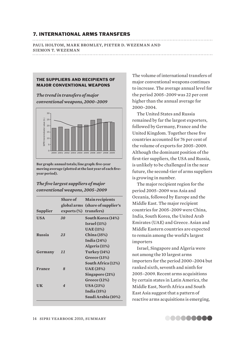## 7. INTERNATIONAL ARMS TRANSFERS

paul holtom, mark bromley, pieter d. wezeman and siemon t. wezeman 

#### THE SUPPLIERS AND RECIPIENTS OF MAJOR CONVENTIONAL WEAPONS

*The trend in transfers of major conventional weapons, 2000–2009*



**Bar graph: annual totals; line graph: five-year moving average (plotted at the last year of each fiveyear period).** 

*The five largest suppliers of major conventional weapons, 2005–2009*

|            | Share of         | <b>Main recipients</b><br>global arms (share of supplier's |
|------------|------------------|------------------------------------------------------------|
| Supplier   | $exports$ $(\%)$ | transfers)                                                 |
| <b>USA</b> | 30               | South Korea (14%)                                          |
|            |                  | Israel(11%)                                                |
|            |                  | <b>UAE</b> (11%)                                           |
| Russia     | 23               | China (35%)                                                |
|            |                  | India $(24%)$                                              |
|            |                  | Algeria (11%)                                              |
| Germany    | 11               | <b>Turkey</b> (14%)                                        |
|            |                  | Greece $(13%)$                                             |
|            |                  | South Africa (12%)                                         |
| France     | $\boldsymbol{8}$ | <b>UAE</b> (25%)                                           |
|            |                  | Singapore (21%)                                            |
|            |                  | Greece $(12%)$                                             |
| UK         | $\boldsymbol{4}$ | USA(23%)                                                   |
|            |                  | <b>India</b> (15%)                                         |
|            |                  | Saudi Arabia (10%)                                         |

The volume of international transfers of major conventional weapons continues to increase. The average annual level for the period 2005–2009 was 22 per cent higher than the annual average for 2000–2004.

The United States and Russia remained by far the largest exporters, followed by Germany, France and the United Kingdom. Together these five countries accounted for 76 per cent of the volume of exports for 2005–2009. Although the dominant position of the first-tier suppliers, the USA and Russia, is unlikely to be challenged in the near future, the second-tier of arms suppliers is growing in number.

The major recipient region for the period 2005–2009 was Asia and Oceania, followed by Europe and the Middle East. The major recipient countries for 2005–2009 were China, India, South Korea, the United Arab Emirates (UAE) and Greece. Asian and Middle Eastern countries are expected to remain among the world's largest importers

Israel, Singapore and Algeria were not among the 10 largest arms importers for the period 2000–2004 but ranked sixth, seventh and ninth for 2005–2009. Recent arms acquisitions by certain states in Latin America, the Middle East, North Africa and South East Asia suggest that a pattern of reactive arms acquisitions is emerging,

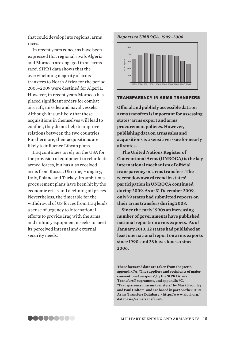that could develop into regional arms races.

In recent years concerns have been expressed that regional rivals Algeria and Morocco are engaged in an 'arms race'. SIPRI data shows that the overwhelming majority of arms transfers to North Africa for the period 2005–2009 were destined for Algeria. However, in recent years Morocco has placed significant orders for combat aircraft, missiles and naval vessels. Although it is unlikely that these acquisitions in themselves will lead to conflict, they do not help to improve relations between the two countries. Furthermore, their acquisitions are likely to influence Libyan plans.

Iraq continues to rely on the USA for the provision of equipment to rebuild its armed forces, but has also received arms from Russia, Ukraine, Hungary, Italy, Poland and Turkey. Its ambitious procurement plans have been hit by the economic crisis and declining oil prices. Nevertheless, the timetable for the withdrawal of US forces from Iraq lends a sense of urgency to international efforts to provide Iraq with the arms and military equipment it seeks to meet its perceived internal and external security needs.

#### *Reports to UNROCA, 1999–2008*



#### TRANSPARENCY IN ARMS TRANSFERS

**Official and publicly accessible data on arms transfers is important for assessing states' arms export and arms procurement policies. However, publishing data on arms sales and acquisitions is a sensitive issue for nearly all states.** 

**The United Nations Register of Conventional Arms (UNROCA) is the key international mechanism of official transparency on arms transfers. The recent downward trend in states' participation in UNROCA continued during 2009. As of 31 December 2009, only 79 states had submitted reports on their arms transfers during 2008.**  From the spending and areas and set areas of reports and  $\frac{1}{2}$  or  $\frac{1}{2}$  and  $\frac{1}{2}$  and publicly accessible data on mms transfers is important for assessing attes' arms export and arms<br>recorrent policies. Howeve

**Since the early 1990s an increasing number of governments have published national reports on arms exports. As of January 2010, 32 states had published at least one national report on arms exports since 1990, and 28 have done so since 2006.**

**These facts and data are taken from chapter 7, appendix 7A, 'The suppliers and recipients of major conventional weapons', by the SIPRI Arms Transfers Programme, and appendix 7C, 'Transparency in arms transfers', by Mark Bromley and Paul Holtom, and are based in part on the SIPRI Arms Transfers Database, <http://www.sipri.org/ databases/armstransfers/>.**

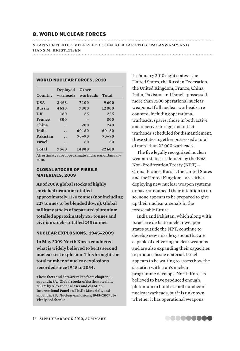#### 8. WORLD NUCLEAR FORCES

shannon n. kile, vitaly fedchenko, bharath gopalaswamy and hans m. kristensen

## WORLD NUCLEAR FORCES, 2010

| Country       | Deployed             | <b>Other</b><br>warheads warheads | Total     |  |
|---------------|----------------------|-----------------------------------|-----------|--|
|               |                      |                                   |           |  |
| <b>USA</b>    | 2468                 | 7100                              | 9600      |  |
| Russia        | 4630                 | 7300                              | 12000     |  |
| UK            | 160                  | 65                                | 225       |  |
| France        | 300                  |                                   | 300       |  |
| China         | $\ddot{\phantom{0}}$ | 200                               | 240       |  |
| India         | . .                  | $60 - 80$                         | $60 - 80$ |  |
| Pakistan      | . .                  | $70 - 90$                         | $70 - 90$ |  |
| <b>Israel</b> | $\cdot$              | 60                                | 80        |  |
| Total         | 7560                 | 14900                             | 22600     |  |

**All estimates are approximate and are as of January 2010.**

#### GLOBAL STOCKS OF FISSILE MATERIALS, 2009

**As of 2009, global stocks of highly enriched uranium totalled approximately 1370 tonnes (not including 227 tonnes to be blended down). Global military stocks of separated plutonium totalled approximately 255 tonnes and civilian stocks totalled 248 tonnes.**

#### NUCLEAR EXPLOSIONS, 1945–2009

**In May 2009 North Korea conducted what is widely believed to be its second nuclear test explosion. This brought the total number of nuclear explosions recorded since 1945 to 2054.**

**These facts and data are taken from chapter 8, appendix 8A, 'Global stocks of fissile materials, 2009', by Alexander Glaser and Zia Mian, International Panel on Fissile Materials, and appendix 8B, 'Nuclear explosions, 1945–2009', by Vitaly Fedchenko.**

In January 2010 eight states—the United States, the Russian Federation, the United Kingdom, France, China, India, Pakistan and Israel—possessed more than 7500 operational nuclear weapons. If all nuclear warheads are counted, including operational warheads, spares, those in both active and inactive storage, and intact warheads scheduled for dismantlement, these states together possessed a total of more than 22 000 warheads.

The five legally recognized nuclear weapon states, as defined by the 1968 Non-Proliferation Treaty (NPT)— China, France, Russia, the United States and the United Kingdom—are either deploying new nuclear weapon systems or have announced their intention to do so; none appears to be prepared to give up their nuclear arsenals in the foreseeable future.

India and Pakistan, which along with Israel are de facto nuclear weapon states outside the NPT, continue to develop new missile systems that are capable of delivering nuclear weapons and are also expanding their capacities to produce fissile material. Israel appears to be waiting to assess how the situation with Iran's nuclear programme develops. North Korea is believed to have produced enough plutonium to build a small number of nuclear warheads, but it is unknown whether it has operational weapons.

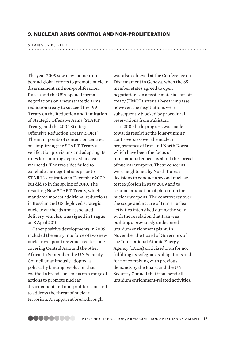#### 9. NUCLEAR ARMS CONTROL AND NON-PROLIFERATION

## shannon n. kile

The year 2009 saw new momentum behind global efforts to promote nuclear disarmament and non-proliferation. Russia and the USA opened formal negotiations on a new strategic arms reduction treaty to succeed the 1991 Treaty on the Reduction and Limitation of Strategic Offensive Arms (START Treaty) and the 2002 Strategic Offensive Reduction Treaty (SORT). The main points of contention centred on simplifying the START Treaty's verification provisions and adapting its rules for counting deployed nuclear warheads. The two sides failed to conclude the negotiations prior to START's expiration in December 2009 but did so in the spring of 2010. The resulting New START Treaty, which mandated modest additional reductions in Russian and US deployed strategic nuclear warheads and associated delivery vehicles, was signed in Prague on 8 April 2010.

Other positive developments in 2009 included the entry into force of two new nuclear weapon-free zone treaties, one covering Central Asia and the other Africa. In September the UN Security Council unanimously adopted a politically binding resolution that codified a broad consensus on a range of actions to promote nuclear disarmament and non-proliferation and to address the threat of nuclear terrorism. An apparent breakthrough

was also achieved at the Conference on Disarmament in Geneva, when the 65 member states agreed to open negotiations on a fissile material cut-off treaty (FMCT) after a 12-year impasse; however, the negotiations were subsequently blocked by procedural reservations from Pakistan.

In 2009 little progress was made towards resolving the long-running controversies over the nuclear programmes of Iran and North Korea, which have been the focus of international concerns about the spread of nuclear weapons. These concerns were heightened by North Korea's decisions to conduct a second nuclear test explosion in May 2009 and to resume production of plutonium for nuclear weapons. The controversy over the scope and nature of Iran's nuclear activities intensified during the year with the revelation that Iran was building a previously undeclared uranium enrichment plant. In November the Board of Governors of the International Atomic Energy Agency (IAEA) criticized Iran for not fulfilling its safeguards obligations and for not complying with previous demands by the Board and the UN Security Council that it suspend all uranium enrichment-related activities.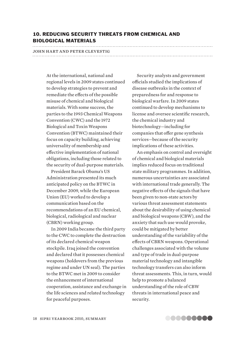## 10. REDUCING SECURITY THREATS FROM CHEMICAL AND BIOLOGICAL MATERIALS

# john hart and peter clevestig

At the international, national and regional levels in 2009 states continued to develop strategies to prevent and remediate the effects of the possible misuse of chemical and biological materials. With some success, the parties to the 1993 Chemical Weapons Convention (CWC) and the 1972 Biological and Toxin Weapons Convention (BTWC) maintained their focus on capacity building, achieving universality of membership and effective implementation of national obligations, including those related to the security of dual-purpose materials.

President Barack Obama's US Administration presented its much anticipated policy on the BTWC in December 2009, while the European Union (EU) worked to develop a communication based on the recommendations of an EU chemical, biological, radiological and nuclear (CBRN) working group.

In 2009 India became the third party to the CWC to complete the destruction of its declared chemical weapon stockpile. Iraq joined the convention and declared that it possesses chemical weapons (holdovers from the previous regime and under UN seal). The parties to the BTWC met in 2009 to consider the enhancement of international cooperation, assistance and exchange in the life sciences and related technology for peaceful purposes.

Security analysts and government officials studied the implications of disease outbreaks in the context of preparedness for and response to biological warfare. In 2009 states continued to develop mechanisms to license and oversee scientific research, the chemical industry and biotechnology—including for companies that offer gene synthesis services—because of the security implications of these activities.

An emphasis on control and oversight of chemical and biological materials implies reduced focus on traditional state military programmes. In addition, numerous uncertainties are associated with international trade generally. The negative effects of the signals that have been given to non-state actors by various threat assessment statements about the desirability of using chemical and biological weapons (CBW), and the anxiety that such use would provoke, could be mitigated by better understanding of the variability of the effects of CBRN weapons. Operational challenges associated with the volume and type of trade in dual-purpose material technology and intangible technology transfers can also inform threat assessments. This, in turn, would help to promote a balanced understanding of the role of CBW threats in international peace and security.

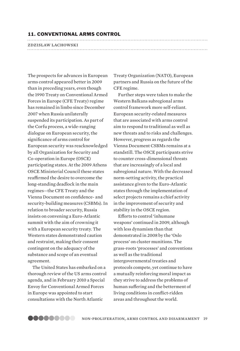#### 11. CONVENTIONAL ARMS CONTROL

#### zdzislaw lachowski

The prospects for advances in European arms control appeared better in 2009 than in preceding years, even though the 1990 Treaty on Conventional Armed Forces in Europe (CFE Treaty) regime has remained in limbo since December 2007 when Russia unilaterally suspended its participation. As part of the Corfu process, a wide-ranging dialogue on European security, the significance of arms control for European security was reacknowledged by all Organization for Security and Co-operation in Europe (OSCE) participating states. At the 2009 Athens OSCE Ministerial Council these states reaffirmed the desire to overcome the long-standing deadlock in the main regimes—the CFE Treaty and the Vienna Document on confidence- and security-building measures (CSBMs). In relation to broader security, Russia insists on convening a Euro-Atlantic summit with the aim of crowning it with a European security treaty. The Western states demonstrated caution and restraint, making their consent contingent on the adequacy of the substance and scope of an eventual agreement.

The United States has embarked on a thorough review of the US arms control agenda, and in February 2010 a Special Envoy for Conventional Armed Forces in Europe was appointed to start consultations with the North Atlantic

Treaty Organization (NATO), European partners and Russia on the future of the CFE regime.

Further steps were taken to make the Western Balkans subregional arms control framework more self-reliant. European security-related measures that are associated with arms control aim to respond to traditional as well as new threats and to risks and challenges. However, progress as regards the Vienna Document CSBMs remains at a standstill. The OSCE participants strive to counter cross-dimensional threats that are increasingly of a local and subregional nature. With the decreased norm-setting activity, the practical assistance given to the Euro-Atlantic states through the implementation of select projects remains a chief activity in the improvement of security and stability in the OSCE region.

Efforts to control 'inhumane weapons' continued in 2009, although with less dynamism than that demonstrated in 2008 by the 'Oslo process' on cluster munitions. The grass-roots 'processes' and conventions as well as the traditional intergovernmental treaties and protocols compete, yet continue to have a mutually reinforcing moral impact as they strive to address the problems of human suffering and the betterment of living conditions in conflict-ridden areas and throughout the world.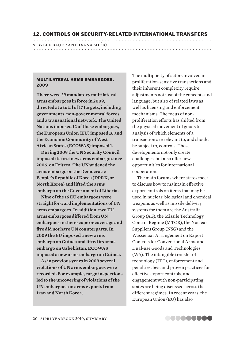#### 12. CONTROLS ON SECURITY-RELATED INTERNATIONAL TRANSFERS

# sibylle bauer and ivana mićić

#### MULTILATERAL ARMS EMBARGOES, 2009

**There were 29 mandatory multilateral arms embargoes in force in 2009, directed at a total of 17 targets, including governments, non-governmental forces and a transnational network. The United Nations imposed 12 of these embargoes, the European Union (EU) imposed 16 and the Economic Community of West African States (ECOWAS) imposed 1.**

**During 2009 the UN Security Council imposed its first new arms embargo since 2006, on Eritrea. The UN widened the arms embargo on the Democratic People's Republic of Korea (DPRK, or North Korea) and lifted the arms embargo on the Government of Liberia.**

**Nine of the 16 EU embargoes were straightforward implementations of UN arms embargoes. In addition, two EU arms embargoes differed from UN embargoes in their scope or coverage and five did not have UN counterparts. In 2009 the EU imposed a new arms embargo on Guinea and lifted its arms embargo on Uzbekistan. ECOWAS imposed a new arms embargo on Guinea.**

**As in previous years in 2009 several violations of UN arms embargoes were recorded. For example, cargo inspections led to the uncovering of violations of the UN embargoes on arms exports from Iran and North Korea.**

The multiplicity of actors involved in proliferation-sensitive transactions and their inherent complexity require adjustments not just of the concepts and language, but also of related laws as well as licensing and enforcement mechanisms. The focus of nonproliferation efforts has shifted from the physical movement of goods to analysis of which elements of a transaction are relevant to, and should be subject to, controls. These developments not only create challenges, but also offer new opportunities for international cooperation.

The main forums where states meet to discuss how to maintain effective export controls on items that may be used in nuclear, biological and chemical weapons as well as missile delivery systems for them are the Australia Group (AG), the Missile Technology Control Regime (MTCR), the Nuclear Suppliers Group (NSG) and the Wassenaar Arrangement on Export Controls for Conventional Arms and Dual-use Goods and Technologies (WA). The intangible transfer of technology (ITT), enforcement and penalties, best and proven practices for effective export controls, and engagement with non-participating states are being discussed across the different regimes. In recent years, the European Union (EU) has also

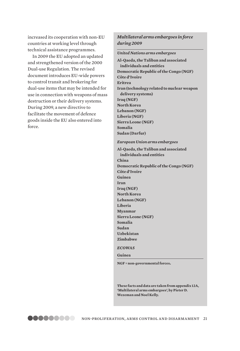increased its cooperation with non-EU countries at working level through technical assistance programmes.

In 2009 the EU adopted an updated and strengthened version of the 2000 Dual-use Regulation. The revised document introduces EU-wide powers to control transit and brokering for dual-use items that may be intended for use in connection with weapons of mass destruction or their delivery systems. During 2009, a new directive to facilitate the movement of defence goods inside the EU also entered into force.

## *Multilateral arms embargoes in force during 2009*

*United Nations arms embargoes*

**Al-Qaeda, the Taliban and associated individuals and entities Democratic Republic of the Congo (NGF) Côte d'Ivoire Eritrea Iran (technology related to nuclear weapon delivery systems) Iraq (NGF) North Korea Lebanon (NGF) Liberia (NGF) Sierra Leone (NGF) Somalia**

*European Union arms embargoes*

**Sudan (Darfur)**

**Al-Qaeda, the Taliban and associated individuals and entities China Democratic Republic of the Congo (NGF) Côte d'Ivoire Guinea Iran Iraq (NGF) North Korea Lebanon (NGF) Liberia Myanmar Sierra Leone (NGF) Somalia Sudan Uzbekistan Zimbabwe**

*ECOWAS*

**Guinea** 

**NGF = non-governmental forces.**

**These facts and data are taken from appendix 12A, 'Multilateral arms embargoes', by Pieter D. Wezeman and Noel Kelly.**

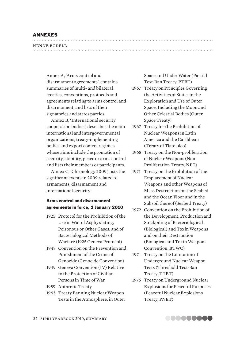## ANNEXES

| NENNE BODELL |  |
|--------------|--|
|              |  |

Annex A, 'Arms control and disarmament agreements', contains summaries of multi- and bilateral treaties, conventions, protocols and agreements relating to arms control and disarmament, and lists of their signatories and states parties.

Annex B, 'International security cooperation bodies', describes the main international and intergovernmental organizations, treaty-implementing bodies and export control regimes whose aims include the promotion of security, stability, peace or arms control and lists their members or participants.

Annex C, 'Chronology 2009', lists the significant events in 2009 related to armaments, disarmament and international security.

## Arms control and disarmament agreements in force, 1 January 2010

- 1925 Protocol for the Prohibition of the Use in War of Asphyxiating, Poisonous or Other Gases, and of Bacteriological Methods of Warfare (1925 Geneva Protocol)
- 1948 Convention on the Prevention and Punishment of the Crime of Genocide (Genocide Convention)
- 1949 Geneva Convention (IV) Relative to the Protection of Civilian Persons in Time of War
- 1959 Antarctic Treaty
- 1963 Treaty Banning Nuclear Weapon Tests in the Atmosphere, in Outer

Space and Under Water (Partial Test-Ban Treaty, PTBT)

- 1967 Treaty on Principles Governing the Activities of States in the Exploration and Use of Outer Space, Including the Moon and Other Celestial Bodies (Outer Space Treaty)
- 1967 Treaty for the Prohibition of Nuclear Weapons in Latin America and the Caribbean (Treaty of Tlatelolco)
- 1968 Treaty on the Non-proliferation of Nuclear Weapons (Non-Proliferation Treaty, NPT)
- 1971 Treaty on the Prohibition of the Emplacement of Nuclear Weapons and other Weapons of Mass Destruction on the Seabed and the Ocean Floor and in the Subsoil thereof (Seabed Treaty)
- 1972 Convention on the Prohibition of the Development, Production and Stockpiling of Bacteriological (Biological) and Toxin Weapons and on their Destruction (Biological and Toxin Weapons Convention, BTWC)
- 1974 Treaty on the Limitation of Underground Nuclear Weapon Tests (Threshold Test-Ban Treaty, TTBT)
- 1976 Treaty on Underground Nuclear Explosions for Peaceful Purposes (Peaceful Nuclear Explosions Treaty, PNET)

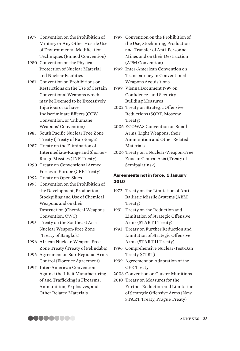- 1977 Convention on the Prohibition of Military or Any Other Hostile Use of Environmental Modification Techniques (Enmod Convention)
- 1980 Convention on the Physical Protection of Nuclear Material and Nuclear Facilities
- 1981 Convention on Prohibitions or Restrictions on the Use of Certain Conventional Weapons which may be Deemed to be Excessively Injurious or to have Indiscriminate Effects (CCW Convention, or 'Inhumane Weapons' Convention)
- 1985 South Pacific Nuclear Free Zone Treaty (Treaty of Rarotonga)
- 1987 Treaty on the Elimination of Intermediate-Range and Shorter-Range Missiles (INF Treaty)
- 1990 Treaty on Conventional Armed Forces in Europe (CFE Treaty)
- 1992 Treaty on Open Skies
- 1993 Convention on the Prohibition of the Development, Production, Stockpiling and Use of Chemical Weapons and on their Destruction (Chemical Weapons Convention, CWC)
- 1995 Treaty on the Southeast Asia Nuclear Weapon-Free Zone (Treaty of Bangkok)
- 1996 African Nuclear-Weapon-Free Zone Treaty (Treaty of Pelindaba)
- 1996 Agreement on Sub-Regional Arms Control (Florence Agreement)
- 1997 Inter-American Convention Against the Illicit Manufacturing of and Trafficking in Firearms, Ammunition, Explosives, and Other Related Materials
- 1997 Convention on the Prohibition of the Use, Stockpiling, Production and Transfer of Anti-Personnel Mines and on their Destruction (APM Convention)
- 1999 Inter-American Convention on Transparency in Conventional Weapons Acquisitions
- 1999 Vienna Document 1999 on Confidence- and Security-Building Measures
- 2002 Treaty on Strategic Offensive Reductions (SORT, Moscow Treaty)
- 2006 ECOWAS Convention on Small Arms, Light Weapons, their Ammunition and Other Related **Materials**
- 2006 Treaty on a Nuclear-Weapon-Free Zone in Central Asia (Treaty of Semipalatinsk)

## Agreements not in force, 1 January 2010

- 1972 Treaty on the Limitation of Anti-Ballistic Missile Systems (ABM Treaty)
- 1991 Treaty on the Reduction and Limitation of Strategic Offensive Arms (START I Treaty)
- 1993 Treaty on Further Reduction and Limitation of Strategic Offensive Arms (START II Treaty)
- 1996 Comprehensive Nuclear-Test-Ban Treaty (CTBT)
- 1999 Agreement on Adaptation of the CFE Treaty
- 2008 Convention on Cluster Munitions
- 2010 Treaty on Measures for the Further Reduction and Limitation of Strategic Offensive Arms (New START Treaty, Prague Treaty)

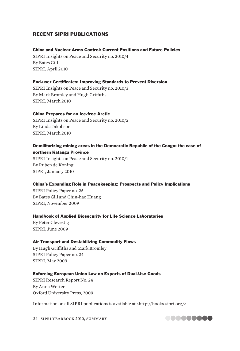## RECENT SIPRI PUBLICATIONS

#### China and Nuclear Arms Control: Current Positions and Future Policies

SIPRI Insights on Peace and Security no. 2010/4 By Bates Gill SIPRI, April 2010

#### End-user Certificates: Improving Standards to Prevent Diversion

SIPRI Insights on Peace and Security no. 2010/3 By Mark Bromley and Hugh Griffiths SIPRI, March 2010

#### China Prepares for an Ice-free Arctic

SIPRI Insights on Peace and Security no. 2010/2 By Linda Jakobson SIPRI, March 2010

#### Demilitarizing mining areas in the Democratic Republic of the Congo: the case of northern Katanga Province

SIPRI Insights on Peace and Security no. 2010/1 By Ruben de Koning SIPRI, January 2010

#### China's Expanding Role in Peacekeeping: Prospects and Policy Implications

SIPRI Policy Paper no. 25 By Bates Gill and Chin-hao Huang SIPRI, November 2009

#### Handbook of Applied Biosecurity for Life Science Laboratories

By Peter Clevestig SIPRI, June 2009

#### Air Transport and Destabilizing Commodity Flows

By Hugh Griffiths and Mark Bromley SIPRI Policy Paper no. 24 SIPRI, May 2009

#### Enforcing European Union Law on Exports of Dual-Use Goods

SIPRI Research Report No. 24 By Anna Wetter Oxford University Press, 2009

Information on all SIPRI publications is available at <http://books.sipri.org/>.

24 sipri yearbook 2010, summary

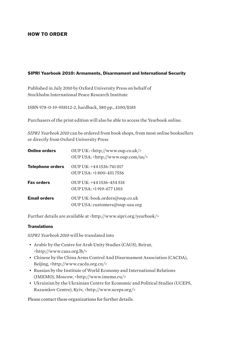## HOW TO ORDER

#### SIPRI Yearbook 2010: Armaments, Disarmament and International Security

Published in July 2010 by Oxford University Press on behalf of Stockholm International Peace Research Institute

ISBN 978-0-19-958112-2, hardback, 580 pp., £100/\$185

Purchasers of the print edition will also be able to access the Yearbook online.

*SIPRI Yearbook 2010* can be ordered from book shops, from most online booksellers or directly from Oxford University Press

| <b>Online orders</b>    | OUP UK: <http: www.oup.co.uk=""></http:><br>OUP USA: <http: us="" www.oup.com=""></http:> |
|-------------------------|-------------------------------------------------------------------------------------------|
| <b>Telephone orders</b> | OUP UK: +44 1536-741 017<br>$OUP$ USA: $+1800 - 4517556$                                  |
| <b>Fax orders</b>       | OUP UK: $+44$ 1536-454 518<br>OUP USA: +1 919-677 1303                                    |
| <b>Email orders</b>     | OUP UK: book.orders@oup.co.uk<br>OUP USA: customers@oup-usa.org                           |

Further details are available at <http://www.sipri.org/yearbook/>

#### **Translations**

*SIPRI Yearbook 2010* will be translated into

- Arabic by the Centre for Arab Unity Studies (CAUS), Beirut, <http://www.caus.org.lb/>
- Chinese by the China Arms Control And Disarmament Association (CACDA), Beijing, <http://www.cacda.org.cn/>
- Russian by the Institute of World Economy and International Relations (IMEMO), Moscow, <http://www.imemo.ru/>
- Ukrainian by the Ukrainian Centre for Economic and Political Studies (UCEPS, Razumkov Centre), Kyiv, <http://www.uceps.org/>

Please contact these organizations for further details.